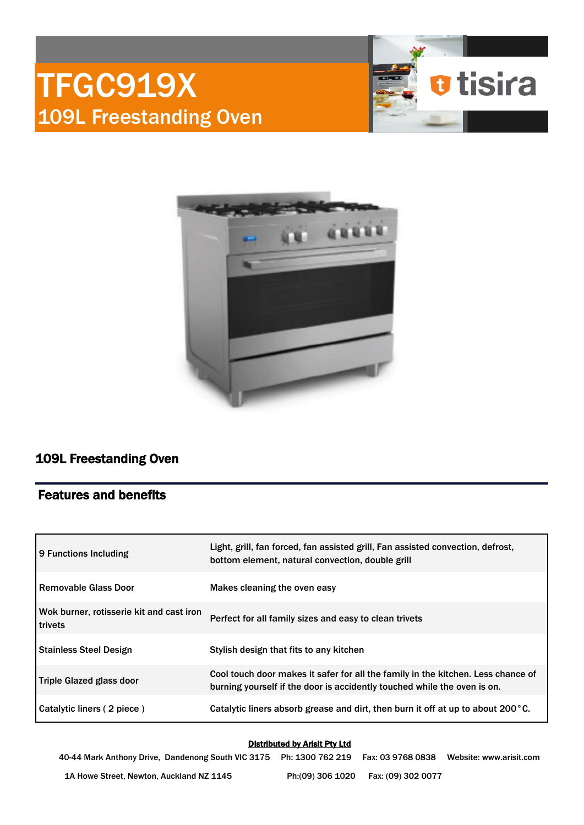# TFGC919X 109L Freestanding Oven





## 109L Freestanding Oven

## Features and benefits

| 9 Functions Including                                      | Light, grill, fan forced, fan assisted grill, Fan assisted convection, defrost,<br>bottom element, natural convection, double grill                          |  |
|------------------------------------------------------------|--------------------------------------------------------------------------------------------------------------------------------------------------------------|--|
| l Removable Glass Door                                     | Makes cleaning the oven easy                                                                                                                                 |  |
| Wok burner, rotisserie kit and cast iron<br><b>trivets</b> | Perfect for all family sizes and easy to clean trivets                                                                                                       |  |
| <b>Stainless Steel Design</b>                              | Stylish design that fits to any kitchen                                                                                                                      |  |
| Triple Glazed glass door                                   | Cool touch door makes it safer for all the family in the kitchen. Less chance of<br>burning yourself if the door is accidently touched while the oven is on. |  |
| Catalytic liners (2 piece)                                 | Catalytic liners absorb grease and dirt, then burn it off at up to about 200 $^{\circ}$ C.                                                                   |  |

#### Distributed by Arisit Pty Ltd

40-44 Mark Anthony Drive, Dandenong South VIC 3175 Ph: 1300 762 219 Fax: 03 9768 0838 Website: www.arisit.com 1A Howe Street, Newton, Auckland NZ 1145 Ph:(09) 306 1020 Fax: (09) 302 0077